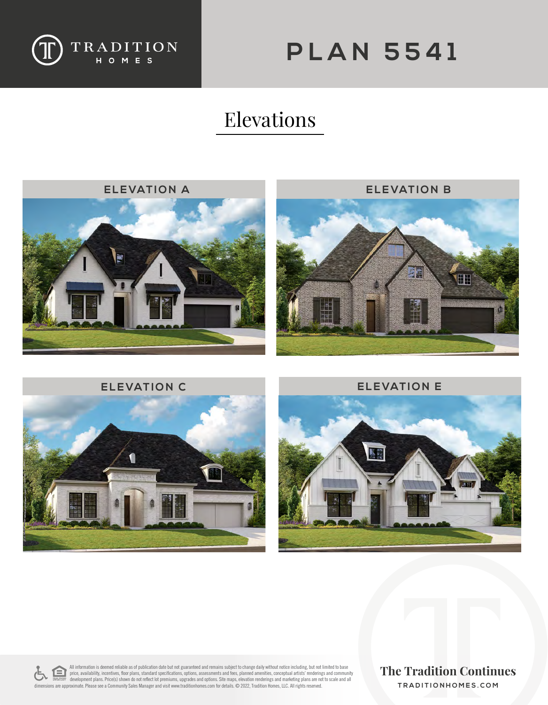

## **PLAN 5541**

## Elevations









All information is deemed reliable as of publication date but not guaranteed and remains subject to change daily without notice including, but not limited to base<br>price, availability, incentives, floor plans, standard spe dimensions are approximate. Please see a Community Sales Manager and visit www.traditionhomes.com for details. © 2022, Tradition Homes, LLC. All rights reserved.

**TRADITIONHOMES.COM**